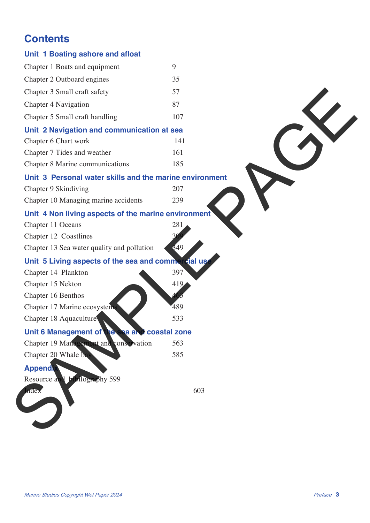# **Contents**

| Unit 1 Boating ashore and afloat                        |     |
|---------------------------------------------------------|-----|
| Chapter 1 Boats and equipment                           | 9   |
| Chapter 2 Outboard engines                              | 35  |
| Chapter 3 Small craft safety                            | 57  |
| Chapter 4 Navigation                                    | 87  |
| Chapter 5 Small craft handling                          | 107 |
| Unit 2 Navigation and communication at sea              |     |
| Chapter 6 Chart work                                    | 141 |
| Chapter 7 Tides and weather                             | 161 |
| Chapter 8 Marine communications                         | 185 |
| Unit 3 Personal water skills and the marine environment |     |
| Chapter 9 Skindiving                                    | 207 |
| Chapter 10 Managing marine accidents                    | 239 |
| Unit 4 Non living aspects of the marine environment     |     |
| Chapter 11 Oceans                                       | 281 |
| Chapter 12 Coastlines                                   |     |
| Chapter 13 Sea water quality and pollution              | 349 |
| Unit 5 Living aspects of the sea and commercial us      |     |
| Chapter 14 Plankton                                     | 397 |
| Chapter 15 Nekton                                       | 419 |
| Chapter 16 Benthos                                      |     |
| Chapter 17 Marine ecosystems                            | 489 |
| Chapter 18 Aquaculture                                  | 533 |
| Unit 6 Management of the sea and coastal zone           |     |
| Chapter 19 Management and conservation                  | 563 |
| Chapter 20 Whale bay                                    | 585 |
| <b>Appendix</b>                                         |     |
| Resource and hibitography 599                           |     |
| <b>AGEX</b>                                             | 603 |
|                                                         |     |
|                                                         |     |
|                                                         |     |
|                                                         |     |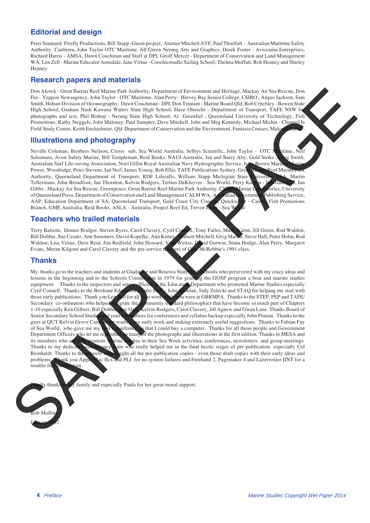### **Editorial and design**

Peter Stannard- Firefly Productions, Bill Stapp -Green project, Alastair Mitchell AYF, Paul Threlfall - Australian Maritime Safety Authority Canberra, John Taylor OTC Maritime, Jill Green Nerang Arts and Graphics, Derek Foster - Avicennia Enterprises, Richard Harris - AMSA, Dawn Couchman and Staff at DPI, Geoff Mercer - Department of Conservation and Land Management WA, Len Zell - Marine Educator Armidale, Jane Virtue - Coochiemudlo Sailing School, Thelma Moffatt, Rob Heaney and Shirley Heaney.

#### **Research papers and materials**

Don Alcock - Great Barrier Reef Marine Park Authority, Department of Environment and Heritage, Mackay Air Sea Rescue, Don Fee- Yeppon Newsagency, John Taylor - OTC Maritime, Alan Perry - Hervey Bay Senior College, CSIRO , Angus Jackson, Sam Smith, Hobart Division of Oceanography, Dawn Couchman - DPI, Don Tennant - Marine Board Qld, Bob Critchley - Bowen State High School, Graham Nash Kawana Waters State High School, Dave Olreichs - Department of Transport, TAFE NSW for photographs and text, Phil Bishop - Nerang State High School, Al Greenfiel , Queensland University of Technology, Fish Promotions, Kathy Steggels, John Maloney, Paul Sumpter, Dave Mitchell, John and Meg Kennedy, Michael Michie - Channel Is Field Study Centre, Keith Enchielmier, Qld Department of Conservation and the Environment, Fantasia Cruises, Malc

### **Illustrations and photography**

Neville Coleman, Brothers Neilson, Cressi sub, Sea World Australia, Selbys Scientific, John Taylor - OTC Maritime, Neil Solomons, Avon Safety Marine, Bill Templeman, Reid Books, NAUI Australia, Jan and Barry Alty, Gold Strike., Creg Smith, Australian Surf Life-saving Association, Noel Gillin Royal Australian Navy Hydrographic Service, John Brown Mariner M<br>Power, Woodridge, Peter Stevens, Jan Neil, James Young, Bob Ellis, TAFE Publications Sydney, Great Barri Power, Woodridge, Peter Stevens, Ian Neil, James Young, Bob Ellis, TAFE Publications Sydney, Great Barrier Reef Marine Park<br>Authority, Queensland Department of Transport, RDF Liferafts, William Stapp Michigian State Univer Authority, Queensland Department of Transport, RDF Liferafts, William Stapp Michigian State University Tellermans, John Broadfoot, Jan Thornton, Kelvin Rodgers, Tertius DeKluyver - Sea World, Perry Kalgan - Jan Stark SHS, Ian<br>Gibbs - Mackav Air Sea Rescue, Greenpeace, Great Barrier Reef Marine Park Authority, CSHCO Marine L Gibbs - Mackay Air Sea Rescue, Greenpeace, Great Barrier Reef Marine Park Authority, CSIRO Marine I of Queensland Press, Department of Conservation and Land Management CALM WA, Australian Government Publishing Service,<br>AAP, Education Department of SA, Queensland Transport, Gold Coast City Courcy, Quicksilver - Cairus, Fi AAP, Education Department of SA, Queensland Transport, Gold Coast City Council, Quicksilver - Cair Branch, GME Australia, Reid Books, ASLA - Australia, Project Reef Ed, Trevor Long - Sea W

### **Teachers who trailed materials**

Terry Balsom, Dennis Bridger, Steven Byers, Carol Clavery, Cyril Compal, Tony Failes, Mark Warne, Jill Green, Rod Waldon, Bill Dobbie, Sue Cerato, Ann Summers, David Kopelke, Ann Kenny, Carlam Mitchell, Greg Mark G, Steve Bill Dobbie, Sue Cerato, Ann Summers, David Kopelke, Ann Kenny, Graham Mitchell, Greg Martin, Greg Martin, Rodrig Martin, Peter Martin, Peter Martin, Peter Martin, Peter Martin, Peter Martin, Peter Martin, Peter Martin, Pe Waldon, Lisa Virtue, Dave Reid, Jim Redfield, John Howard, Vera Weitsz, David Gorwin, Stana Hodge, Alan Perry, Margaret<br>Evans, Meran Kilgour and Carol Clavery and the pre-service teachers of Canz McRobbie's 1991 class. Evans, Meran Kilgour and Carol Clavery and the pre-service t

#### **Thanks**

My thanks go to the teachers and students at Gladstone and Benowa State High Schools who persevered with my crazy ideas and<br>lessons in the beginning and to the Schools Commission in 1979 for granting the GOSP program a boa lessons in the beginning and to the Schools Commission in 1979 for granting the GOSP program a boat and marine studies equipment. Thanks to the inspectors and septer-officers the Education Department who promoted Marine St efficers in the Education Department who promoted Marine Studies especially Cyril Connell. Thanks to the Brisbane Education Centre Staff - John Quinlan, Judy Zolecki and STAQ for helping me start with those early publications. Thank you Len Lyl for all your work while you were at GBRMPA. Thanks to those early publications. Thank you Len Zell for all your work while you were at GBRMPA. Thanks to the STEP, PEP and TAFE/<br>Secondary co-ordinators who helped in serate the community studied philosophies that have become so nmunity standard philosophies that have become so much part of Chapters 1-10 especially Ken Gilbert, Bill Dobbie, Sue Oats, Kelvin Rodgers, Carol Clavery, Jill Agnew and Gwen Lane. Thanks Board of Senior Secondary School Studies and your committees for conferences and syllabus backup especially John Pitman. Thanks to the guys at QUT Kelvin Grove Campus for reading my early work and making extremely useful suggestions. Thanks to Fabian Fay<br>of Sea World, who gave me my **thanks to face to the face of the season** thanks for all those people an ultancy so that I could buy a computer. Thanks for all those people and Government Department Officers who let me reproduce so many of the photographs and illustrations in the first edition. Thanks to MESA and its members who activities conferences newsletters and group meetings omote **Warine Studies in their Sea Week activities, conferences, newsletters and group meetings.** Thanks to my dedicated consultancy is am who really helped me in the final hectic stages of pre-publication especially Col Reinhardt. Thanks to the schools who bought all the pre-publication copies - even those draft copies with their early ideas and problems. Thank you Apply Mac II cx and PLI for no system failures and Freehand 2, Pagemaker 4 ac IIcx and PLI for no system failures and Freehand 2, Pagemaker 4 and Lazerwriter IINT for a trouble fr New York Columbus 2002<br>
SAMPLE PAGE AND A CONTRACT CONTRACT CONTRACT CONTRACT CONTRACT CONTRACT CONTRACT CONTRACT CONTRACT CONTRACT CONTRACT CONTRACT CONTRACT CONTRACT CONTRACT CONTRACT CONTRACT CONTRACT CONTRACT CONTRACT

y thanks to my family and especially Paula for her great moral support.

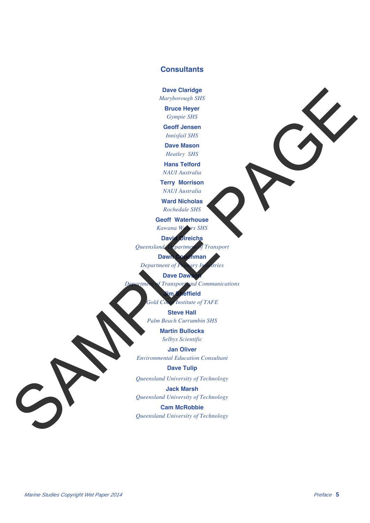### **Consultants**

**Dave Claridge**

*Maryborough SHS*

**Bruce Heyer** *Gympie SHS*

**Geoff Jensen**

*Innisfail SHS* **Dave Mason**

*Heatley SHS*

**Hans Telford** *NAUI Australia*

**Terry Morrison**

*NAUI Australia*

**Ward Nicholas** *Rochedale SHS*

**Geoff Waterhouse**

*Kawana Waters SHS*

**David Olreichs**

*Queensland Department of Transport*

**Dawn Couchman**

*Department of Primary Industries*

**Dave Daws** 

*Department of Transport and Communications*

**Jim Sheffield**

*Gold Coast Institute of TAFE*

**Steve Hall**

*Palm Beach Currumbin SHS*

**Martin Bullocks** *Selbys Scientific*

**Jan Oliver**

*Environmental Education Consultant* Description<br>
SAMPLE PAGE SERVICE SCRIPTION OF CONSUMING CONSUMING CONSUMING CONSUMING CONSUMING CONSUMING CONSUMING CONSUMING CONSUMING CONSUMING CONSUMING CONSUMING CONSUMING CONSUMING CONSUMING CONSUMING CONSUMING CONSUM

**Dave Tulip**

*Queensland University of Technology*

**Jack Marsh**

*Queensland University of Technology*

**Cam McRobbie**

*Queensland University of Technology*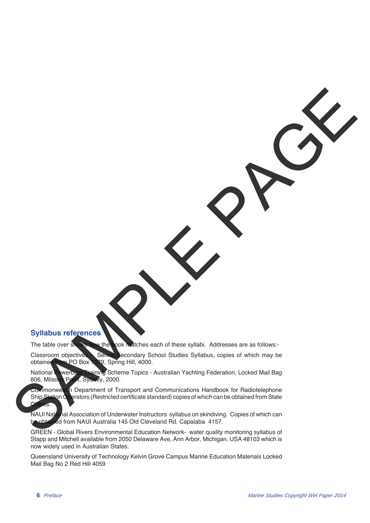### **Syllabus references**

The table over shows how the book matches each of these syllabi. Addresses are as follows:-

Classroom objectives Senior Secondary School Studies Syllabus, copies of which may be obtained from PO Box 1939, Spring Hill, 4000. obtained from PO Box 1379, Spring Hill, 4000.

National Powerboat Training Scheme Topics - Australian Yachting Federation, Locked Mail Bag<br>806, Milsons Palm, Sychey, 2000. 1, Sydney, 2000.

Commonwealth Department of Transport and Communications Handbook for Radiotelephone Ship Station Operators (Restricted certificate standard) copies of which can be obtained from State

NAUI National Association of Underwater Instructors syllabus on skindiving. Copies of which can be obtained from NAUI Australia 145 Old Cleveland Rd. Capalaba 4157. Syllabus reformes and a grand control of the control of the control of the control of the control of the control of the control of the control of the control of the control of the control of the control of the control of t

GREEN - Global Rivers Environmental Education Network- water quality monitoring syllabus of Stapp and Mitchell available from 2050 Delaware Ave, Ann Arbor, Michigan, USA 48103 which is now widely used in Australian States.

Queensland University of Technology Kelvin Grove Campus Marine Education Materials Locked Mail Bag No 2 Red Hill 4059

Offices.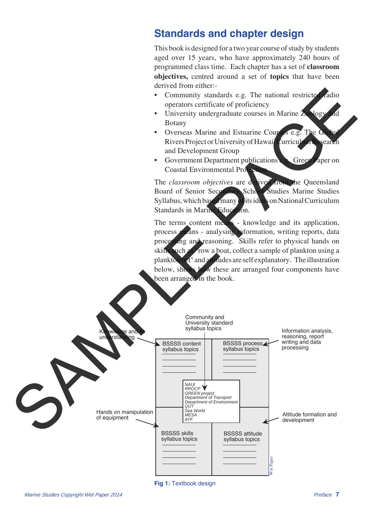## **Standards and chapter design**

This book is designed for a two year course of study by students aged over 15 years, who have approximately 240 hours of programmed class time. Each chapter has a set of **classroom objectives,** centred around a set of **topics** that have been derived from either:-

- Community standards e.g. The national restricted radio operators certificate of proficiency
- University undergraduate courses in Marine Zoology Botany
- Overseas Marine and Estuarine Courses e.g. The Rivers Project or University of Hawaii Curriculum Resear and Development Group
- Government Department publications e.g. Green Paper on Coastal Environmental Pro

The *classroom objectives* are derived from the Queensland Board of Senior Secondary School Studies Marine Studies Syllabus, which based many of its ideas on National Curriculum Standards in Marine Education.

The terms content means - knowledge and its application, process means - analysing information, writing reports, data processing and reasoning. Skills refer to physical hands on skills such as "row a boat, collect a sample of plankton using a plankton net" and attitudes are self explanatory. The illustration below, shows how these are arranged four components have been arranged in the book.



**Fig 1:** Textbook design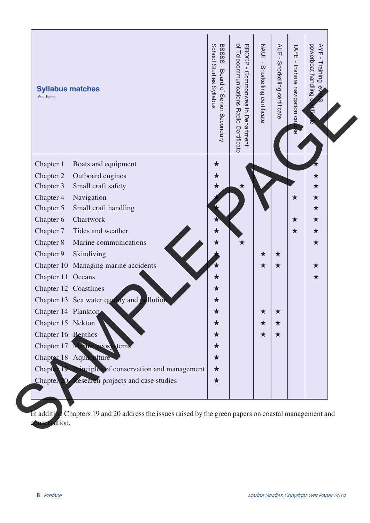| <b>Syllabus matches</b><br>Wet Paper                    | School Studies Syllabus<br>BSSSS - Board of Senior Secondary | of Telecommunications Radio Certificate<br>RROCP-<br>Commonwealth Department | NAUI - Snorkelling certificate | AUF<br>$\mathbf{I}$<br>Snorkelling certificate | TAFE<br>$\Gamma$<br>Inshore navigation co | powerboat handling<br>AYF - Training<br>$\overline{\Phi}$ |
|---------------------------------------------------------|--------------------------------------------------------------|------------------------------------------------------------------------------|--------------------------------|------------------------------------------------|-------------------------------------------|-----------------------------------------------------------|
| Chapter 1<br>Boats and equipment                        | $\bigstar$                                                   |                                                                              |                                |                                                |                                           |                                                           |
| Chapter 2<br>Outboard engines                           | ★                                                            |                                                                              |                                |                                                |                                           | ★                                                         |
| Small craft safety<br>Chapter 3                         | ★                                                            |                                                                              |                                |                                                |                                           | ★                                                         |
| Navigation<br>Chapter 4                                 |                                                              |                                                                              |                                |                                                | ★                                         | $\bigstar$                                                |
| Small craft handling<br>Chapter 5                       |                                                              |                                                                              |                                |                                                |                                           | $\bigstar$                                                |
| Chapter 6<br>Chartwork                                  |                                                              |                                                                              |                                |                                                | ★                                         | $\star$                                                   |
| Chapter 7<br>Tides and weather                          |                                                              |                                                                              |                                |                                                | ★                                         | $\star$                                                   |
| Chapter 8<br>Marine communications                      |                                                              | $\bigstar$                                                                   |                                |                                                |                                           | $\star$                                                   |
| Chapter 9<br>Skindiving                                 |                                                              |                                                                              | ★                              | ★                                              |                                           |                                                           |
| Chapter 10 Managing marine accidents                    |                                                              |                                                                              | ★                              | ★                                              |                                           | ★                                                         |
| Chapter 11 Oceans                                       | ★                                                            |                                                                              |                                |                                                |                                           | $\star$                                                   |
| Chapter 12 Coastlines                                   | $\bigstar$                                                   |                                                                              |                                |                                                |                                           |                                                           |
| Chapter 13 Sea water quality and<br>llution             | $\bigstar$                                                   |                                                                              |                                |                                                |                                           |                                                           |
| Chapter 14 Plankton                                     | $\bigstar$                                                   |                                                                              | ★                              | $\star$                                        |                                           |                                                           |
| Chapter 15 Nekton                                       | ★                                                            |                                                                              | ★                              | ★                                              |                                           |                                                           |
| Chapter 16 Benthos                                      | ★                                                            |                                                                              | ★                              | ★                                              |                                           |                                                           |
| Chapter 17 Marine ecos<br>tems                          | ★                                                            |                                                                              |                                |                                                |                                           |                                                           |
| Chapter 18 Aquaculture                                  | ★                                                            |                                                                              |                                |                                                |                                           |                                                           |
| Chapter 19 Principles of conservation and management    | $\star$                                                      |                                                                              |                                |                                                |                                           |                                                           |
| <b>Research</b> projects and case studies<br>Chapter 20 | $\star$                                                      |                                                                              |                                |                                                |                                           |                                                           |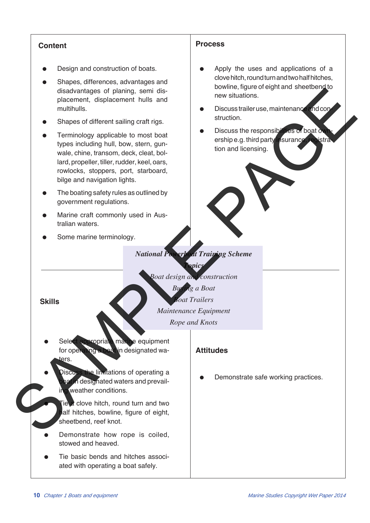## **Content**

- Design and construction of boats.
- Shapes, differences, advantages and disadvantages of planing, semi displacement, displacement hulls and multihulls.
- Shapes of different sailing craft rigs.
- Terminology applicable to most boat types including hull, bow, stern, gunwale, chine, transom, deck, cleat, bollard, propeller, tiller, rudder, keel, oars, rowlocks, stoppers, port, starboard, bilge and navigation lights. diadentaries of plaining, semi-dia-<br>
members, displacement hulls and<br>
metalling of the state of the state of the state of the state of the state of the state of the state of the state of the state of the state of the state
	- The boating safety rules as outlined by government regulations.
	- Marine craft commonly used in Australian waters.
	- Some marine terminology.

### **Process**

- Apply the uses and applications of a clove hitch, round turn and two half hitches, bowline, figure of eight and sheetbend to new situations.
- Discuss trailer use, maintenance and construction.
- Discuss the responsibilities of boat o ership e.g. third party insurance, registration and licensing.

## *National Powerboat Training Scheme Topics*

*Boat design and construction*

**Skills**

*Boat Trailers Maintenance Equipment*

*Buying a Boat*

*Rope and Knots*

- Select appropriate marine equipment for operating a boat in designated waers.
- Discuss the limitations of operating a **Un designated waters and prevail**ing weather conditions.
	- ie a clove hitch, round turn and two alf hitches, bowline, figure of eight, sheetbend, reef knot.
- Demonstrate how rope is coiled, stowed and heaved.
- Tie basic bends and hitches associated with operating a boat safely.

### **Attitudes**

Demonstrate safe working practices.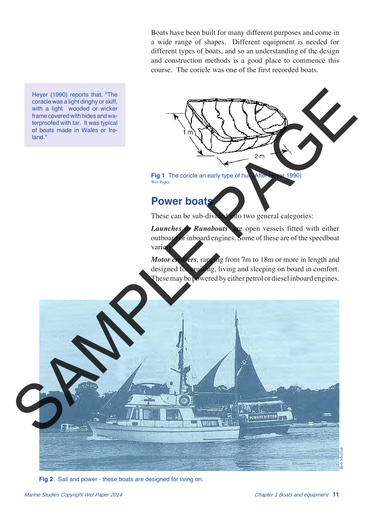Boats have been built for many different purposes and come in a wide range of shapes. Different equipment is needed for different types of boats, and so an understanding of the design and construction methods is a good place to commence this course. The coricle was one of the first recorded boats.

Heyer (1990) reports that, "The coracle was a light dinghy or skiff, with a light wooded or wicker frame covered with hides and waterproofed with tar. It was typical of boats made in Wales or Ireland."

> Fig 1 The coricle an early type of hull After Heyer 1990) Wet Paper

## **Power boats**

These can be sub-divided into two general categories:

*Launches Runabouts* **are open vessels fitted with either** outboard or inboard engines. Some of these are of the speedboat varie

*Motor cruisers,* ranging from 7m to 18m or more in length and designed for cruising, living and sleeping on board in comfort. These may be powered by either petrol or diesel inboard engines.



**Fig 2** Sail and power - these boats are designed for living on.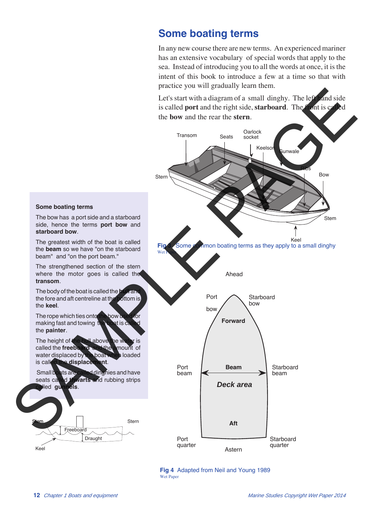## **Some boating terms**

In any new course there are new terms. An experienced mariner has an extensive vocabulary of special words that apply to the sea. Instead of introducing you to all the words at once, it is the intent of this book to introduce a few at a time so that with practice you will gradually learn them.

Let's start with a diagram of a small dinghy. The left hand side<br>is called **port** and the right side, **starboard**. The front is called is called **port** and the right side, **starboard**. The front is called the **bow** and the rear the **stern**.



![](_page_8_Figure_4.jpeg)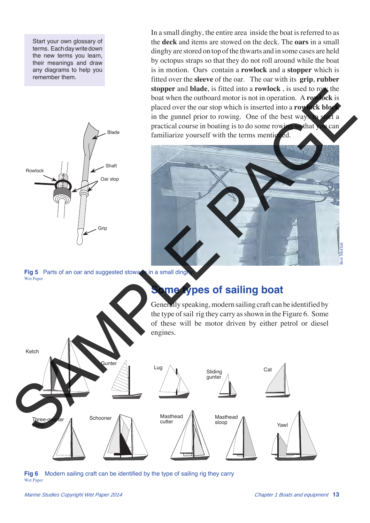Start your own glossary of terms. Each day write down the new terms you learn, their meanings and draw any diagrams to help you remember them.

![](_page_9_Figure_1.jpeg)

In a small dinghy, the entire area inside the boat is referred to as the **deck** and items are stowed on the deck. The **oars** in a small dinghy are stored on top of the thwarts and in some cases are held by octopus straps so that they do not roll around while the boat is in motion. Oars contain a **rowlock** and a **stopper** which is fitted over the **sleeve** of the oar. The oar with its **grip**, **rubber stopper** and **blade**, is fitted into a **rowlock** , is used to row the boat when the outboard motor is not in operation. A **rowlock** is placed over the oar stop which is inserted into a **rowlock block** in the gunnel prior to rowing. One of the best ways to start a practical course in boating is to do some rowing so that you can familiarize yourself with the terms mentioned.

![](_page_9_Picture_3.jpeg)

Fig 5 Parts of an oar and suggested stowage in a small ding Wet Paper

![](_page_9_Figure_5.jpeg)

**Fig 6** Modern sailing craft can be identified by the type of sailing rig they carry Wet Paper

*Marine Studies Copyright Wet Paper 2014 Chapter 1 Boats and equipment* **13**